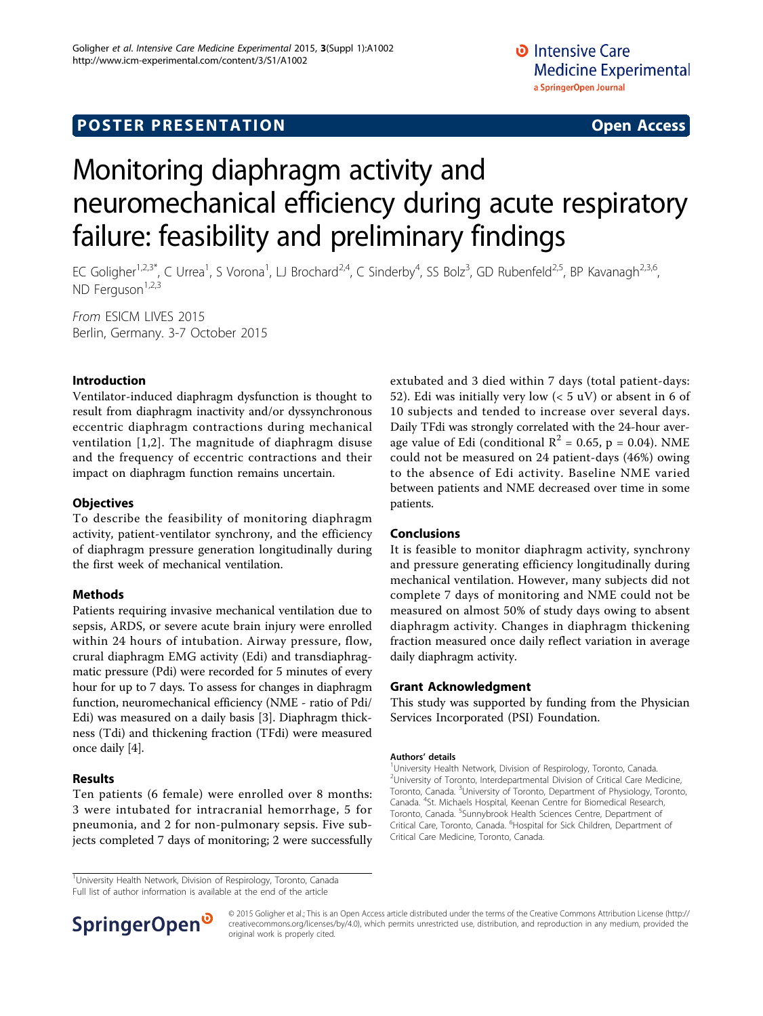# Monitoring diaphragm activity and neuromechanical efficiency during acute respiratory failure: feasibility and preliminary findings

EC Goligher<sup>1,2,3\*</sup>, C Urrea<sup>1</sup>, S Vorona<sup>1</sup>, LJ Brochard<sup>2,4</sup>, C Sinderby<sup>4</sup>, SS Bolz<sup>3</sup>, GD Rubenfeld<sup>2,5</sup>, BP Kavanagh<sup>2,3,6</sup>, ND Ferguson $1,2,3$ 

From ESICM LIVES 2015 Berlin, Germany. 3-7 October 2015

# Introduction

Ventilator-induced diaphragm dysfunction is thought to result from diaphragm inactivity and/or dyssynchronous eccentric diaphragm contractions during mechanical ventilation [[1](#page-1-0),[2\]](#page-1-0). The magnitude of diaphragm disuse and the frequency of eccentric contractions and their impact on diaphragm function remains uncertain.

# **Objectives**

To describe the feasibility of monitoring diaphragm activity, patient-ventilator synchrony, and the efficiency of diaphragm pressure generation longitudinally during the first week of mechanical ventilation.

### Methods

Patients requiring invasive mechanical ventilation due to sepsis, ARDS, or severe acute brain injury were enrolled within 24 hours of intubation. Airway pressure, flow, crural diaphragm EMG activity (Edi) and transdiaphragmatic pressure (Pdi) were recorded for 5 minutes of every hour for up to 7 days. To assess for changes in diaphragm function, neuromechanical efficiency (NME - ratio of Pdi/ Edi) was measured on a daily basis [[3\]](#page-1-0). Diaphragm thickness (Tdi) and thickening fraction (TFdi) were measured once daily [[4](#page-1-0)].

### Results

Ten patients (6 female) were enrolled over 8 months: 3 were intubated for intracranial hemorrhage, 5 for pneumonia, and 2 for non-pulmonary sepsis. Five subjects completed 7 days of monitoring; 2 were successfully

extubated and 3 died within 7 days (total patient-days: 52). Edi was initially very low  $(< 5 \mathrm{uV})$  or absent in 6 of 10 subjects and tended to increase over several days. Daily TFdi was strongly correlated with the 24-hour average value of Edi (conditional  $R^2 = 0.65$ , p = 0.04). NME could not be measured on 24 patient-days (46%) owing to the absence of Edi activity. Baseline NME varied between patients and NME decreased over time in some patients.

### Conclusions

It is feasible to monitor diaphragm activity, synchrony and pressure generating efficiency longitudinally during mechanical ventilation. However, many subjects did not complete 7 days of monitoring and NME could not be measured on almost 50% of study days owing to absent diaphragm activity. Changes in diaphragm thickening fraction measured once daily reflect variation in average daily diaphragm activity.

### Grant Acknowledgment

This study was supported by funding from the Physician Services Incorporated (PSI) Foundation.

#### Authors' details <sup>1</sup>

<sup>1</sup>University Health Network, Division of Respirology, Toronto, Canada. <sup>2</sup>University of Toronto, Interdepartmental Division of Critical Care Medicine Toronto, Canada. <sup>3</sup>University of Toronto, Department of Physiology, Toronto, Canada. <sup>4</sup> St. Michaels Hospital, Keenan Centre for Biomedical Research, Toronto, Canada. <sup>5</sup>Sunnybrook Health Sciences Centre, Department of Critical Care, Toronto, Canada. <sup>6</sup>Hospital for Sick Children, Department of Critical Care Medicine, Toronto, Canada.

<sup>1</sup>University Health Network, Division of Respirology, Toronto, Canada Full list of author information is available at the end of the article



© 2015 Goligher et al.; This is an Open Access article distributed under the terms of the Creative Commons Attribution License [\(http://](http://creativecommons.org/licenses/by/4.0) [creativecommons.org/licenses/by/4.0](http://creativecommons.org/licenses/by/4.0)), which permits unrestricted use, distribution, and reproduction in any medium, provided the original work is properly cited.